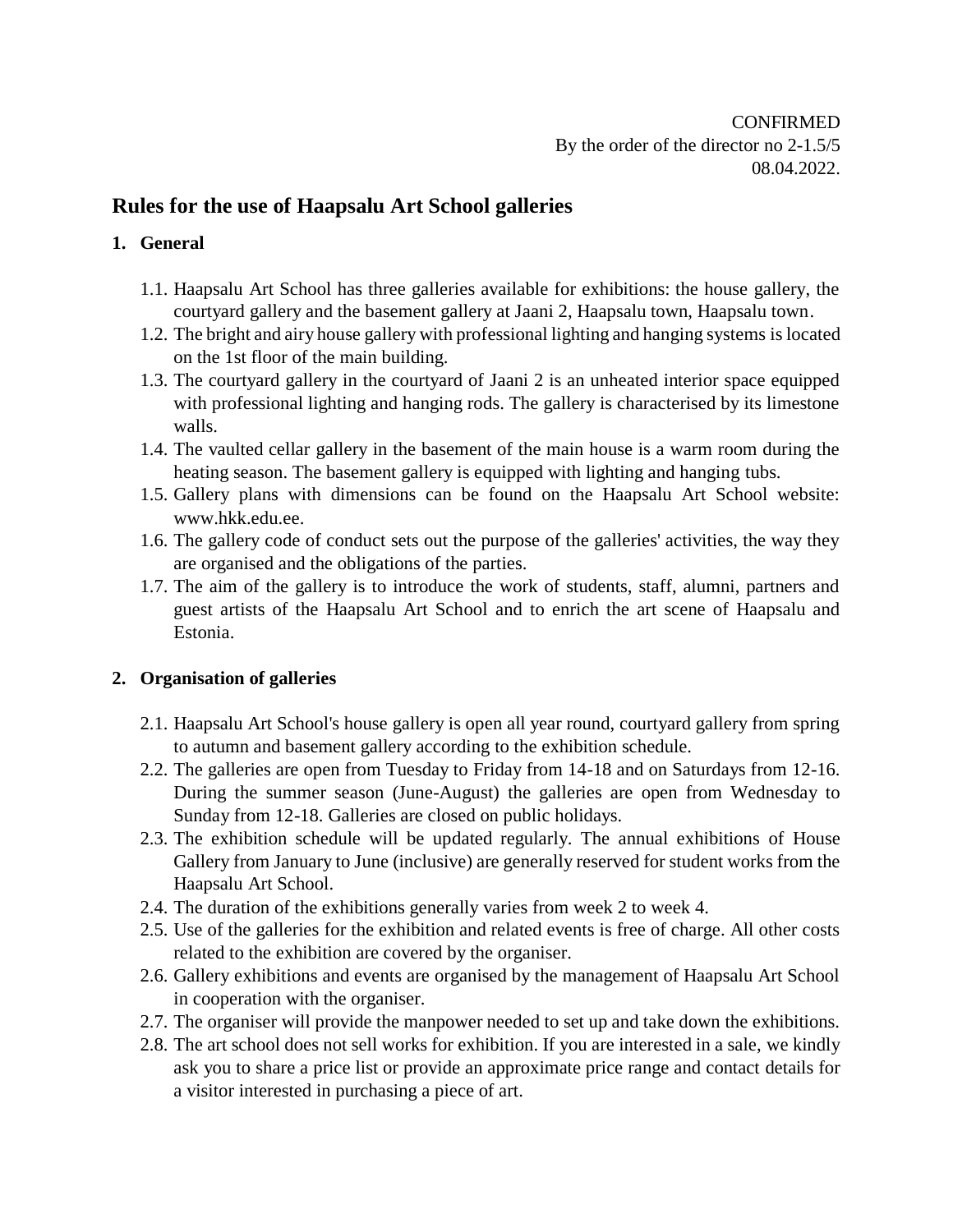CONFIRMED By the order of the director no 2-1.5/5 08.04.2022.

# **Rules for the use of Haapsalu Art School galleries**

## **1. General**

- 1.1. Haapsalu Art School has three galleries available for exhibitions: the house gallery, the courtyard gallery and the basement gallery at Jaani 2, Haapsalu town, Haapsalu town.
- 1.2. The bright and airy house gallery with professional lighting and hanging systems is located on the 1st floor of the main building.
- 1.3. The courtyard gallery in the courtyard of Jaani 2 is an unheated interior space equipped with professional lighting and hanging rods. The gallery is characterised by its limestone walls.
- 1.4. The vaulted cellar gallery in the basement of the main house is a warm room during the heating season. The basement gallery is equipped with lighting and hanging tubs.
- 1.5. Gallery plans with dimensions can be found on the Haapsalu Art School website: www.hkk.edu.ee.
- 1.6. The gallery code of conduct sets out the purpose of the galleries' activities, the way they are organised and the obligations of the parties.
- 1.7. The aim of the gallery is to introduce the work of students, staff, alumni, partners and guest artists of the Haapsalu Art School and to enrich the art scene of Haapsalu and Estonia.

## **2. Organisation of galleries**

- 2.1. Haapsalu Art School's house gallery is open all year round, courtyard gallery from spring to autumn and basement gallery according to the exhibition schedule.
- 2.2. The galleries are open from Tuesday to Friday from 14-18 and on Saturdays from 12-16. During the summer season (June-August) the galleries are open from Wednesday to Sunday from 12-18. Galleries are closed on public holidays.
- 2.3. The exhibition schedule will be updated regularly. The annual exhibitions of House Gallery from January to June (inclusive) are generally reserved for student works from the Haapsalu Art School.
- 2.4. The duration of the exhibitions generally varies from week 2 to week 4.
- 2.5. Use of the galleries for the exhibition and related events is free of charge. All other costs related to the exhibition are covered by the organiser.
- 2.6. Gallery exhibitions and events are organised by the management of Haapsalu Art School in cooperation with the organiser.
- 2.7. The organiser will provide the manpower needed to set up and take down the exhibitions.
- 2.8. The art school does not sell works for exhibition. If you are interested in a sale, we kindly ask you to share a price list or provide an approximate price range and contact details for a visitor interested in purchasing a piece of art.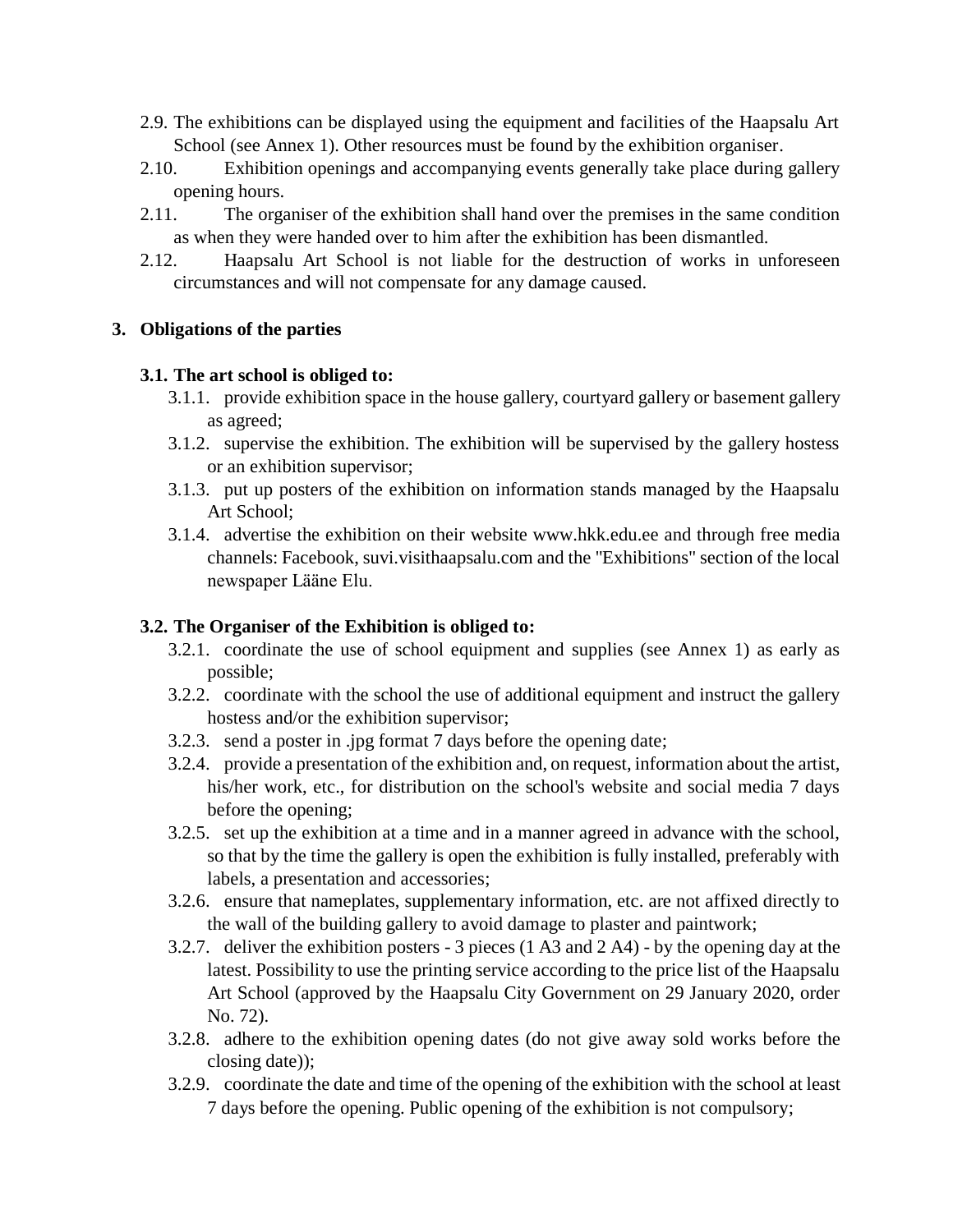- 2.9. The exhibitions can be displayed using the equipment and facilities of the Haapsalu Art School (see Annex 1). Other resources must be found by the exhibition organiser.
- 2.10. Exhibition openings and accompanying events generally take place during gallery opening hours.
- 2.11. The organiser of the exhibition shall hand over the premises in the same condition as when they were handed over to him after the exhibition has been dismantled.
- 2.12. Haapsalu Art School is not liable for the destruction of works in unforeseen circumstances and will not compensate for any damage caused.

#### **3. Obligations of the parties**

#### **3.1. The art school is obliged to:**

- 3.1.1. provide exhibition space in the house gallery, courtyard gallery or basement gallery as agreed;
- 3.1.2. supervise the exhibition. The exhibition will be supervised by the gallery hostess or an exhibition supervisor;
- 3.1.3. put up posters of the exhibition on information stands managed by the Haapsalu Art School;
- 3.1.4. advertise the exhibition on their website www.hkk.edu.ee and through free media channels: Facebook, suvi.visithaapsalu.com and the "Exhibitions" section of the local newspaper Lääne Elu.

## **3.2. The Organiser of the Exhibition is obliged to:**

- 3.2.1. coordinate the use of school equipment and supplies (see Annex 1) as early as possible;
- 3.2.2. coordinate with the school the use of additional equipment and instruct the gallery hostess and/or the exhibition supervisor;
- 3.2.3. send a poster in .jpg format 7 days before the opening date;
- 3.2.4. provide a presentation of the exhibition and, on request, information about the artist, his/her work, etc., for distribution on the school's website and social media 7 days before the opening;
- 3.2.5. set up the exhibition at a time and in a manner agreed in advance with the school, so that by the time the gallery is open the exhibition is fully installed, preferably with labels, a presentation and accessories;
- 3.2.6. ensure that nameplates, supplementary information, etc. are not affixed directly to the wall of the building gallery to avoid damage to plaster and paintwork;
- 3.2.7. deliver the exhibition posters 3 pieces (1 A3 and 2 A4) by the opening day at the latest. Possibility to use the printing service according to the price list of the Haapsalu Art School (approved by the Haapsalu City Government on 29 January 2020, order No. 72).
- 3.2.8. adhere to the exhibition opening dates (do not give away sold works before the closing date));
- 3.2.9. coordinate the date and time of the opening of the exhibition with the school at least 7 days before the opening. Public opening of the exhibition is not compulsory;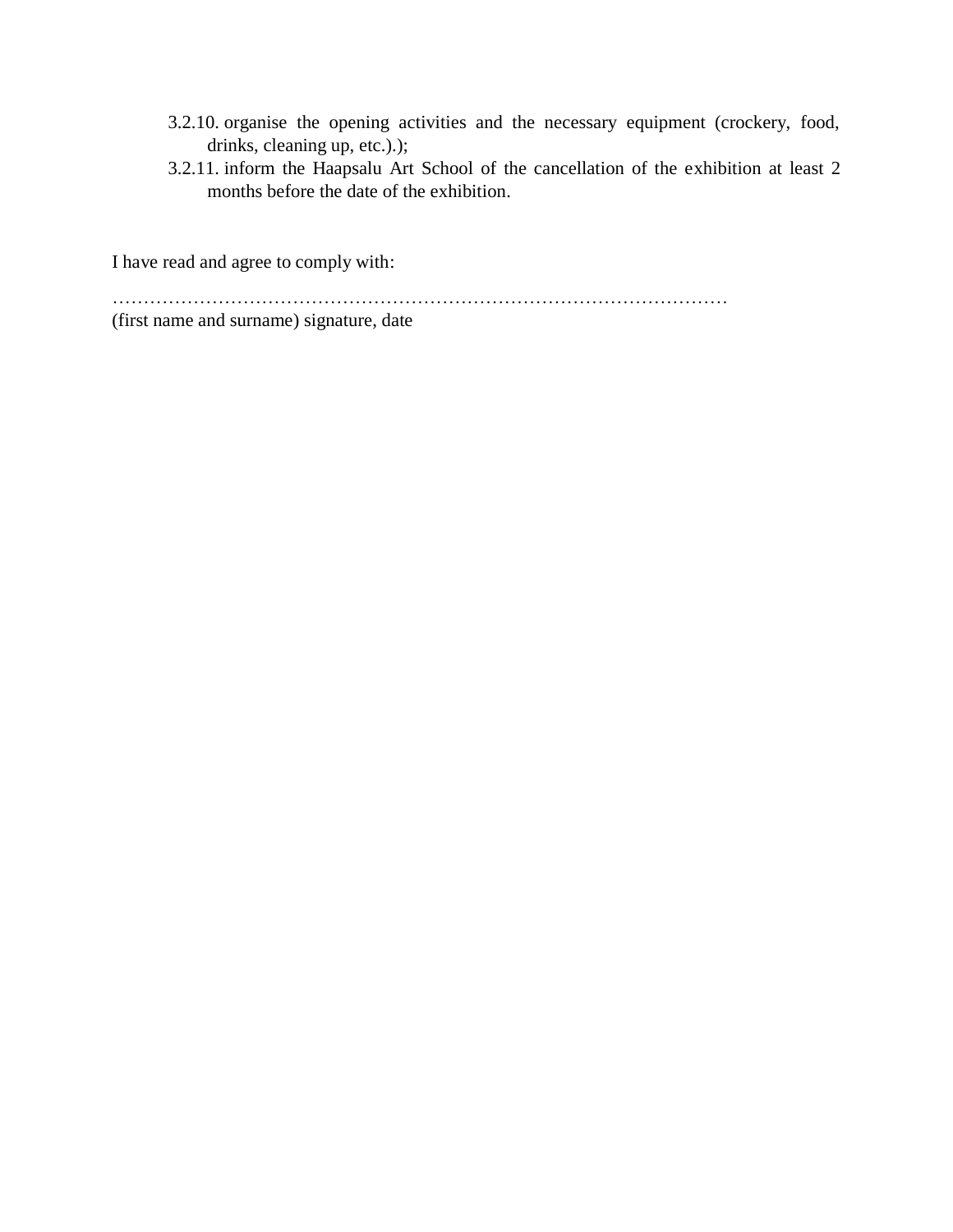- 3.2.10. organise the opening activities and the necessary equipment (crockery, food, drinks, cleaning up, etc.).);
- 3.2.11. inform the Haapsalu Art School of the cancellation of the exhibition at least 2 months before the date of the exhibition.

I have read and agree to comply with:

………………………………………………………………………………………

(first name and surname) signature, date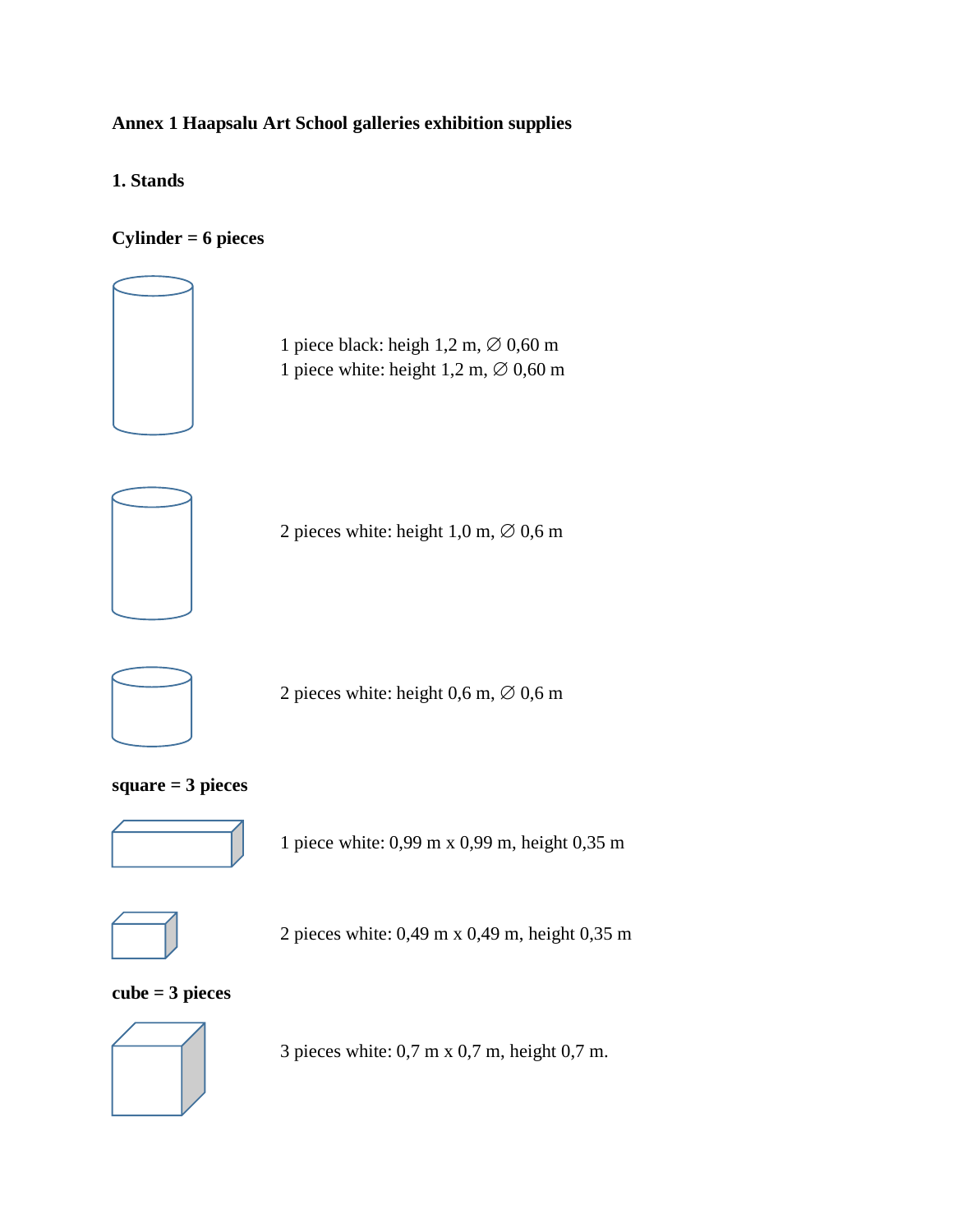## **Annex 1 Haapsalu Art School galleries exhibition supplies**

**1. Stands**

## **Cylinder = 6 pieces**



1 piece black: heigh  $1,2$  m,  $\varnothing$  0,60 m 1 piece white: height  $1,2$  m,  $\varnothing$  0,60 m



2 pieces white: height  $1,0$  m,  $\varnothing$  0,6 m



2 pieces white: height  $0,6$  m,  $\varnothing$  0,6 m

## **square = 3 pieces**



1 piece white: 0,99 m x 0,99 m, height 0,35 m



2 pieces white: 0,49 m x 0,49 m, height 0,35 m

## **cube = 3 pieces**



3 pieces white: 0,7 m x 0,7 m, height 0,7 m.